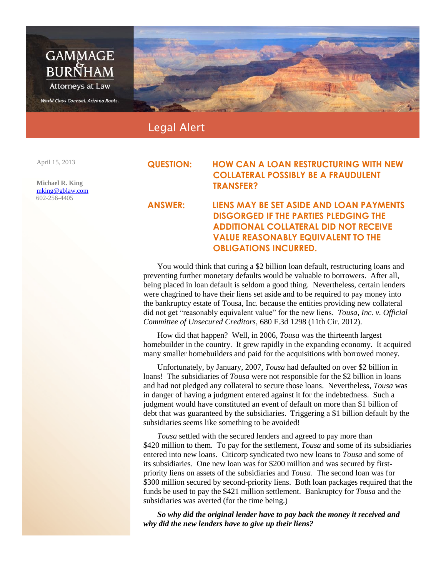

Legal Alert

April 15, 2013

**Michael R. King** [mking@gblaw.com](mailto:mking@gblaw.com) 602-256-4405

## **QUESTION: HOW CAN A LOAN RESTRUCTURING WITH NEW COLLATERAL POSSIBLY BE A FRAUDULENT TRANSFER?**

## **ANSWER: LIENS MAY BE SET ASIDE AND LOAN PAYMENTS DISGORGED IF THE PARTIES PLEDGING THE ADDITIONAL COLLATERAL DID NOT RECEIVE VALUE REASONABLY EQUIVALENT TO THE OBLIGATIONS INCURRED.**

You would think that curing a \$2 billion loan default, restructuring loans and preventing further monetary defaults would be valuable to borrowers. After all, being placed in loan default is seldom a good thing. Nevertheless, certain lenders were chagrined to have their liens set aside and to be required to pay money into the bankruptcy estate of Tousa, Inc. because the entities providing new collateral did not get "reasonably equivalent value" for the new liens. *Tousa, Inc. v. Official Committee of Unsecured Creditors*, 680 F.3d 1298 (11th Cir. 2012).

How did that happen? Well, in 2006, *Tousa* was the thirteenth largest homebuilder in the country. It grew rapidly in the expanding economy. It acquired many smaller homebuilders and paid for the acquisitions with borrowed money.

Unfortunately, by January, 2007, *Tousa* had defaulted on over \$2 billion in loans! The subsidiaries of *Tousa* were not responsible for the \$2 billion in loans and had not pledged any collateral to secure those loans. Nevertheless, *Tousa* was in danger of having a judgment entered against it for the indebtedness. Such a judgment would have constituted an event of default on more than \$1 billion of debt that was guaranteed by the subsidiaries. Triggering a \$1 billion default by the subsidiaries seems like something to be avoided!

*Tousa* settled with the secured lenders and agreed to pay more than \$420 million to them. To pay for the settlement, *Tousa* and some of its subsidiaries entered into new loans. Citicorp syndicated two new loans to *Tousa* and some of its subsidiaries. One new loan was for \$200 million and was secured by firstpriority liens on assets of the subsidiaries and *Tousa*. The second loan was for \$300 million secured by second-priority liens. Both loan packages required that the funds be used to pay the \$421 million settlement. Bankruptcy for *Tousa* and the subsidiaries was averted (for the time being.)

*So why did the original lender have to pay back the money it received and why did the new lenders have to give up their liens?*